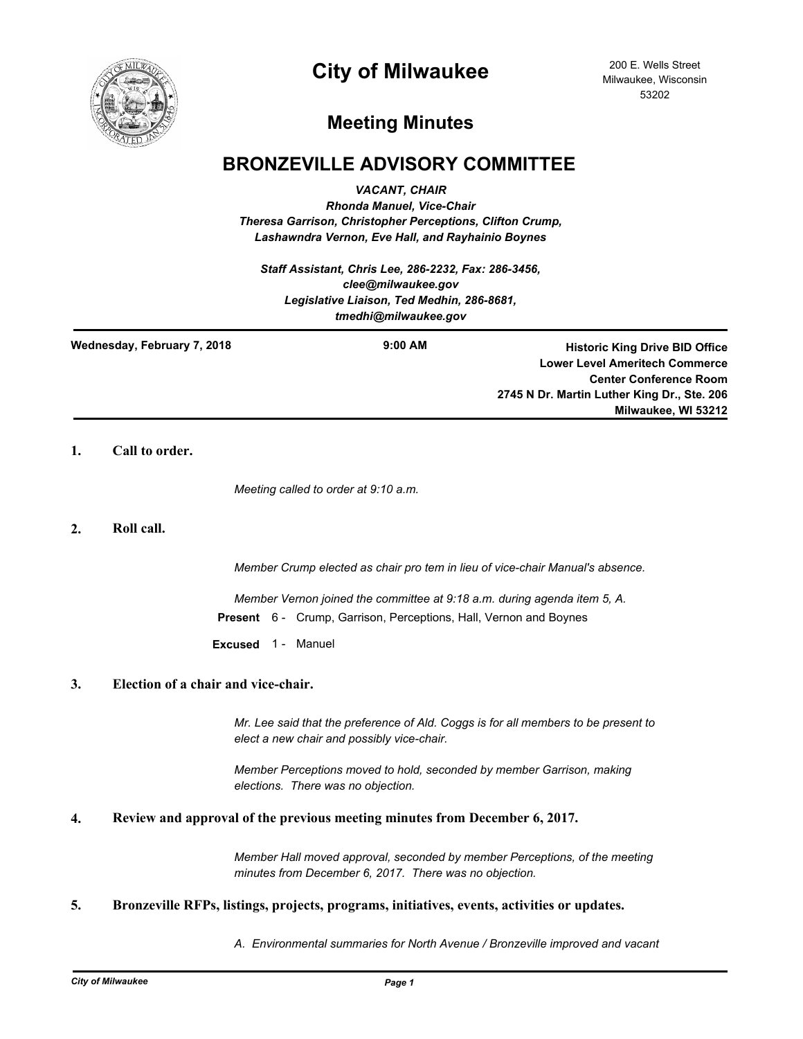

# **City of Milwaukee**

200 E. Wells Street Milwaukee, Wisconsin 53202

# **Meeting Minutes**

## **BRONZEVILLE ADVISORY COMMITTEE**

*VACANT, CHAIR*

*Rhonda Manuel, Vice-Chair Theresa Garrison, Christopher Perceptions, Clifton Crump, Lashawndra Vernon, Eve Hall, and Rayhainio Boynes*

*Staff Assistant, Chris Lee, 286-2232, Fax: 286-3456, clee@milwaukee.gov Legislative Liaison, Ted Medhin, 286-8681, tmedhi@milwaukee.gov*

**Wednesday, February 7, 2018**

**9:00 AM Historic King Drive BID Office Lower Level Ameritech Commerce Center Conference Room 2745 N Dr. Martin Luther King Dr., Ste. 206 Milwaukee, WI 53212**

## **1. Call to order.**

*Meeting called to order at 9:10 a.m.*

## **2. Roll call.**

*Member Crump elected as chair pro tem in lieu of vice-chair Manual's absence.*

*Member Vernon joined the committee at 9:18 a.m. during agenda item 5, A.* **Present** 6 - Crump, Garrison, Perceptions, Hall, Vernon and Boynes

**Excused** 1 - Manuel

## **3. Election of a chair and vice-chair.**

*Mr. Lee said that the preference of Ald. Coggs is for all members to be present to elect a new chair and possibly vice-chair.*

*Member Perceptions moved to hold, seconded by member Garrison, making elections. There was no objection.*

## **4. Review and approval of the previous meeting minutes from December 6, 2017.**

*Member Hall moved approval, seconded by member Perceptions, of the meeting minutes from December 6, 2017. There was no objection.*

## **5. Bronzeville RFPs, listings, projects, programs, initiatives, events, activities or updates.**

*A. Environmental summaries for North Avenue / Bronzeville improved and vacant*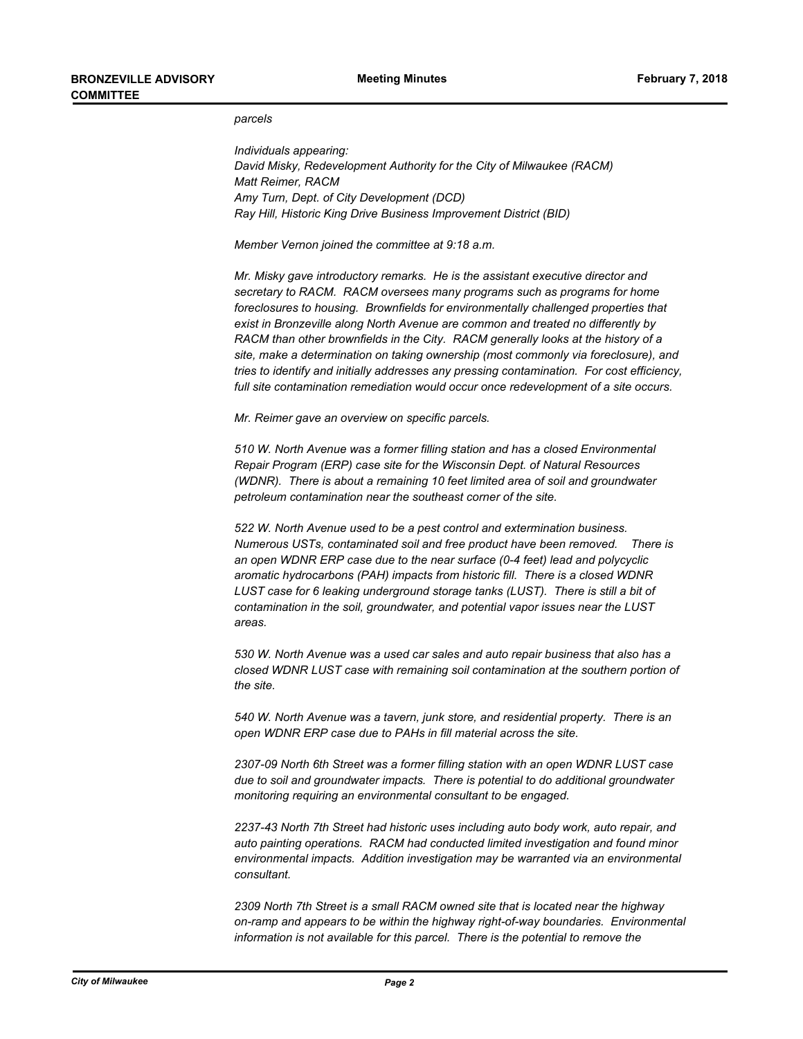#### *parcels*

*Individuals appearing: David Misky, Redevelopment Authority for the City of Milwaukee (RACM) Matt Reimer, RACM Amy Turn, Dept. of City Development (DCD) Ray Hill, Historic King Drive Business Improvement District (BID)*

*Member Vernon joined the committee at 9:18 a.m.*

*Mr. Misky gave introductory remarks. He is the assistant executive director and secretary to RACM. RACM oversees many programs such as programs for home foreclosures to housing. Brownfields for environmentally challenged properties that exist in Bronzeville along North Avenue are common and treated no differently by RACM than other brownfields in the City. RACM generally looks at the history of a site, make a determination on taking ownership (most commonly via foreclosure), and tries to identify and initially addresses any pressing contamination. For cost efficiency, full site contamination remediation would occur once redevelopment of a site occurs.*

*Mr. Reimer gave an overview on specific parcels.* 

*510 W. North Avenue was a former filling station and has a closed Environmental Repair Program (ERP) case site for the Wisconsin Dept. of Natural Resources (WDNR). There is about a remaining 10 feet limited area of soil and groundwater petroleum contamination near the southeast corner of the site.*

*522 W. North Avenue used to be a pest control and extermination business. Numerous USTs, contaminated soil and free product have been removed. There is an open WDNR ERP case due to the near surface (0-4 feet) lead and polycyclic aromatic hydrocarbons (PAH) impacts from historic fill. There is a closed WDNR*  LUST case for 6 leaking underground storage tanks (LUST). There is still a bit of *contamination in the soil, groundwater, and potential vapor issues near the LUST areas.*

*530 W. North Avenue was a used car sales and auto repair business that also has a closed WDNR LUST case with remaining soil contamination at the southern portion of the site.*

*540 W. North Avenue was a tavern, junk store, and residential property. There is an open WDNR ERP case due to PAHs in fill material across the site.*

*2307-09 North 6th Street was a former filling station with an open WDNR LUST case due to soil and groundwater impacts. There is potential to do additional groundwater monitoring requiring an environmental consultant to be engaged.*

*2237-43 North 7th Street had historic uses including auto body work, auto repair, and auto painting operations. RACM had conducted limited investigation and found minor environmental impacts. Addition investigation may be warranted via an environmental consultant.*

*2309 North 7th Street is a small RACM owned site that is located near the highway on-ramp and appears to be within the highway right-of-way boundaries. Environmental information is not available for this parcel. There is the potential to remove the*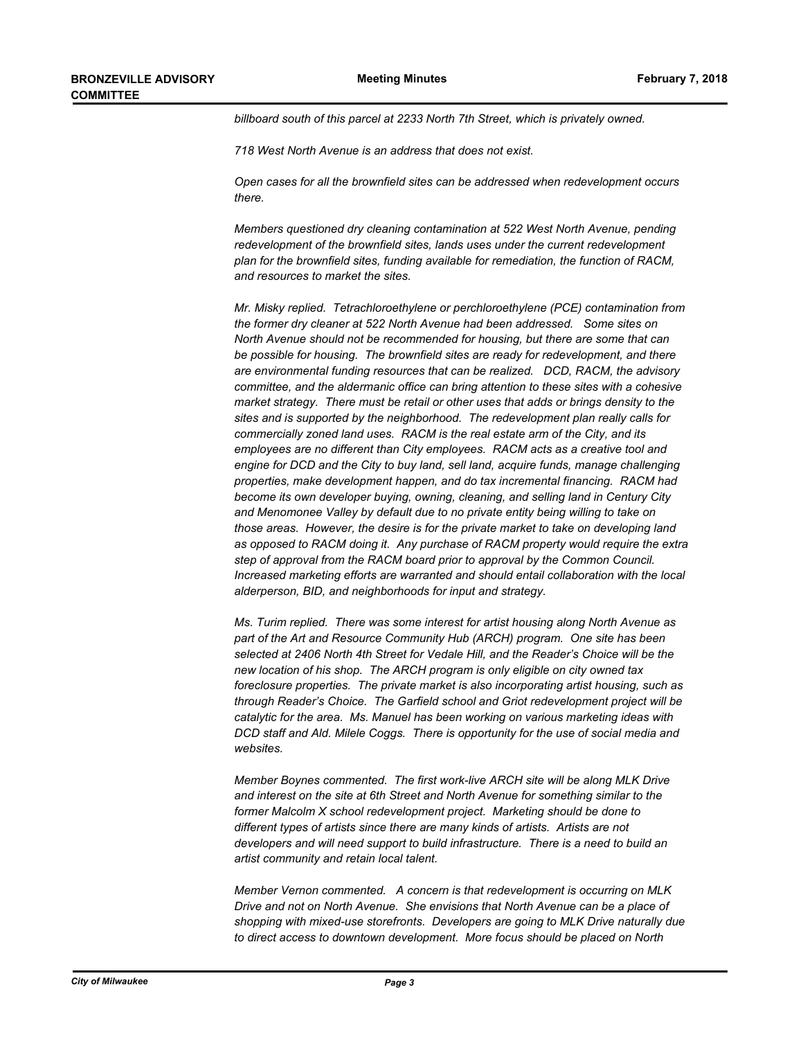*billboard south of this parcel at 2233 North 7th Street, which is privately owned.*

*718 West North Avenue is an address that does not exist.*

*Open cases for all the brownfield sites can be addressed when redevelopment occurs there.*

*Members questioned dry cleaning contamination at 522 West North Avenue, pending redevelopment of the brownfield sites, lands uses under the current redevelopment plan for the brownfield sites, funding available for remediation, the function of RACM, and resources to market the sites.*

*Mr. Misky replied. Tetrachloroethylene or perchloroethylene (PCE) contamination from the former dry cleaner at 522 North Avenue had been addressed. Some sites on North Avenue should not be recommended for housing, but there are some that can be possible for housing. The brownfield sites are ready for redevelopment, and there are environmental funding resources that can be realized. DCD, RACM, the advisory committee, and the aldermanic office can bring attention to these sites with a cohesive market strategy. There must be retail or other uses that adds or brings density to the sites and is supported by the neighborhood. The redevelopment plan really calls for commercially zoned land uses. RACM is the real estate arm of the City, and its employees are no different than City employees. RACM acts as a creative tool and engine for DCD and the City to buy land, sell land, acquire funds, manage challenging properties, make development happen, and do tax incremental financing. RACM had become its own developer buying, owning, cleaning, and selling land in Century City and Menomonee Valley by default due to no private entity being willing to take on those areas. However, the desire is for the private market to take on developing land as opposed to RACM doing it. Any purchase of RACM property would require the extra step of approval from the RACM board prior to approval by the Common Council. Increased marketing efforts are warranted and should entail collaboration with the local alderperson, BID, and neighborhoods for input and strategy.*

*Ms. Turim replied. There was some interest for artist housing along North Avenue as part of the Art and Resource Community Hub (ARCH) program. One site has been selected at 2406 North 4th Street for Vedale Hill, and the Reader's Choice will be the new location of his shop. The ARCH program is only eligible on city owned tax foreclosure properties. The private market is also incorporating artist housing, such as through Reader's Choice. The Garfield school and Griot redevelopment project will be catalytic for the area. Ms. Manuel has been working on various marketing ideas with DCD staff and Ald. Milele Coggs. There is opportunity for the use of social media and websites.*

*Member Boynes commented. The first work-live ARCH site will be along MLK Drive and interest on the site at 6th Street and North Avenue for something similar to the former Malcolm X school redevelopment project. Marketing should be done to different types of artists since there are many kinds of artists. Artists are not developers and will need support to build infrastructure. There is a need to build an artist community and retain local talent.*

*Member Vernon commented. A concern is that redevelopment is occurring on MLK Drive and not on North Avenue. She envisions that North Avenue can be a place of shopping with mixed-use storefronts. Developers are going to MLK Drive naturally due to direct access to downtown development. More focus should be placed on North*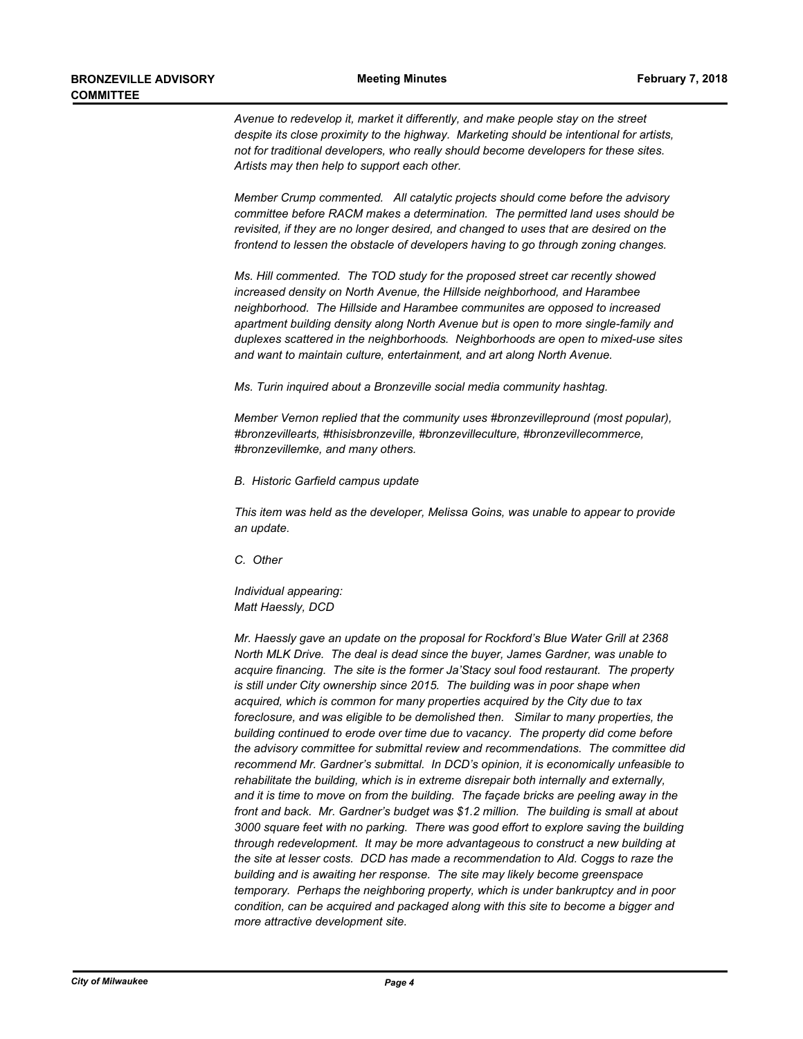*Avenue to redevelop it, market it differently, and make people stay on the street despite its close proximity to the highway. Marketing should be intentional for artists, not for traditional developers, who really should become developers for these sites. Artists may then help to support each other.*

*Member Crump commented. All catalytic projects should come before the advisory committee before RACM makes a determination. The permitted land uses should be revisited, if they are no longer desired, and changed to uses that are desired on the frontend to lessen the obstacle of developers having to go through zoning changes.*

*Ms. Hill commented. The TOD study for the proposed street car recently showed increased density on North Avenue, the Hillside neighborhood, and Harambee neighborhood. The Hillside and Harambee communites are opposed to increased apartment building density along North Avenue but is open to more single-family and duplexes scattered in the neighborhoods. Neighborhoods are open to mixed-use sites and want to maintain culture, entertainment, and art along North Avenue.*

*Ms. Turin inquired about a Bronzeville social media community hashtag.*

*Member Vernon replied that the community uses #bronzevillepround (most popular), #bronzevillearts, #thisisbronzeville, #bronzevilleculture, #bronzevillecommerce, #bronzevillemke, and many others.*

*B. Historic Garfield campus update*

*This item was held as the developer, Melissa Goins, was unable to appear to provide an update.*

*C. Other*

*Individual appearing: Matt Haessly, DCD*

*Mr. Haessly gave an update on the proposal for Rockford's Blue Water Grill at 2368 North MLK Drive. The deal is dead since the buyer, James Gardner, was unable to acquire financing. The site is the former Ja'Stacy soul food restaurant. The property is still under City ownership since 2015. The building was in poor shape when acquired, which is common for many properties acquired by the City due to tax foreclosure, and was eligible to be demolished then. Similar to many properties, the building continued to erode over time due to vacancy. The property did come before the advisory committee for submittal review and recommendations. The committee did recommend Mr. Gardner's submittal. In DCD's opinion, it is economically unfeasible to rehabilitate the building, which is in extreme disrepair both internally and externally, and it is time to move on from the building. The façade bricks are peeling away in the front and back. Mr. Gardner's budget was \$1.2 million. The building is small at about 3000 square feet with no parking. There was good effort to explore saving the building through redevelopment. It may be more advantageous to construct a new building at the site at lesser costs. DCD has made a recommendation to Ald. Coggs to raze the building and is awaiting her response. The site may likely become greenspace temporary. Perhaps the neighboring property, which is under bankruptcy and in poor condition, can be acquired and packaged along with this site to become a bigger and more attractive development site.*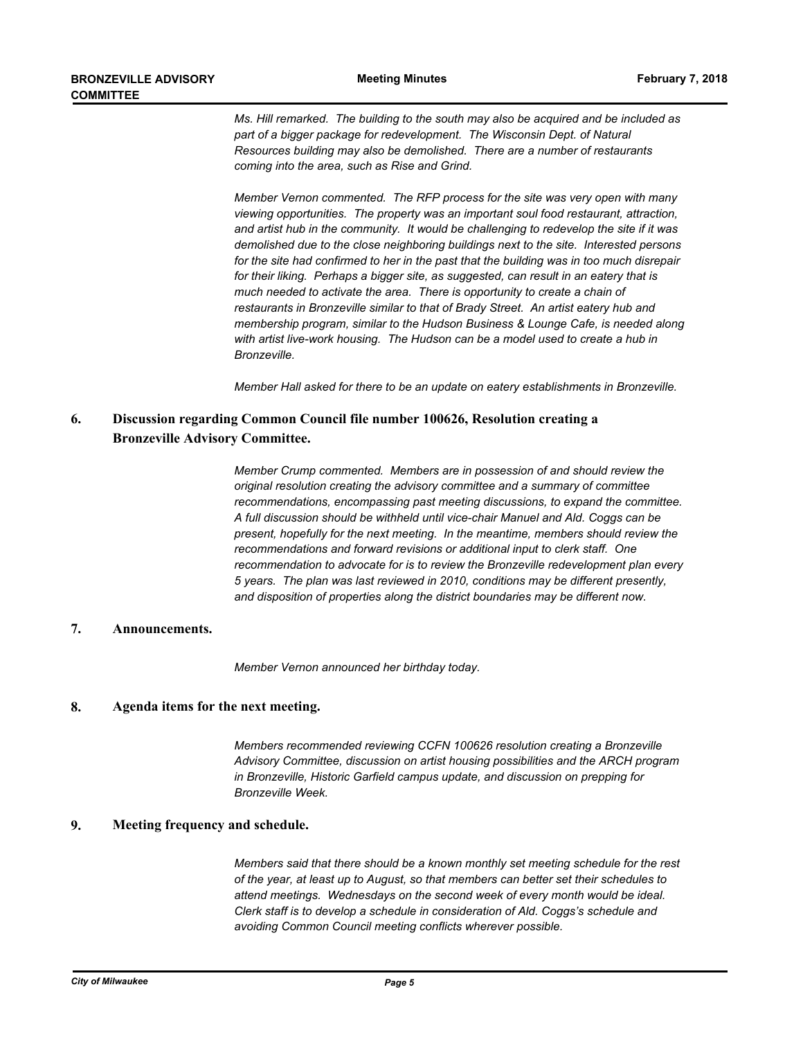*Ms. Hill remarked. The building to the south may also be acquired and be included as*  part of a bigger package for redevelopment. The Wisconsin Dept. of Natural *Resources building may also be demolished. There are a number of restaurants coming into the area, such as Rise and Grind.*

*Member Vernon commented. The RFP process for the site was very open with many viewing opportunities. The property was an important soul food restaurant, attraction, and artist hub in the community. It would be challenging to redevelop the site if it was demolished due to the close neighboring buildings next to the site. Interested persons for the site had confirmed to her in the past that the building was in too much disrepair for their liking. Perhaps a bigger site, as suggested, can result in an eatery that is much needed to activate the area. There is opportunity to create a chain of restaurants in Bronzeville similar to that of Brady Street. An artist eatery hub and membership program, similar to the Hudson Business & Lounge Cafe, is needed along with artist live-work housing. The Hudson can be a model used to create a hub in Bronzeville.* 

*Member Hall asked for there to be an update on eatery establishments in Bronzeville.*

#### **Discussion regarding Common Council file number 100626, Resolution creating a Bronzeville Advisory Committee. 6.**

*Member Crump commented. Members are in possession of and should review the original resolution creating the advisory committee and a summary of committee recommendations, encompassing past meeting discussions, to expand the committee. A full discussion should be withheld until vice-chair Manuel and Ald. Coggs can be present, hopefully for the next meeting. In the meantime, members should review the recommendations and forward revisions or additional input to clerk staff. One recommendation to advocate for is to review the Bronzeville redevelopment plan every 5 years. The plan was last reviewed in 2010, conditions may be different presently, and disposition of properties along the district boundaries may be different now.*

## **7. Announcements.**

*Member Vernon announced her birthday today.*

## **8. Agenda items for the next meeting.**

*Members recommended reviewing CCFN 100626 resolution creating a Bronzeville Advisory Committee, discussion on artist housing possibilities and the ARCH program in Bronzeville, Historic Garfield campus update, and discussion on prepping for Bronzeville Week.*

### **9. Meeting frequency and schedule.**

*Members said that there should be a known monthly set meeting schedule for the rest of the year, at least up to August, so that members can better set their schedules to attend meetings. Wednesdays on the second week of every month would be ideal. Clerk staff is to develop a schedule in consideration of Ald. Coggs's schedule and avoiding Common Council meeting conflicts wherever possible.*